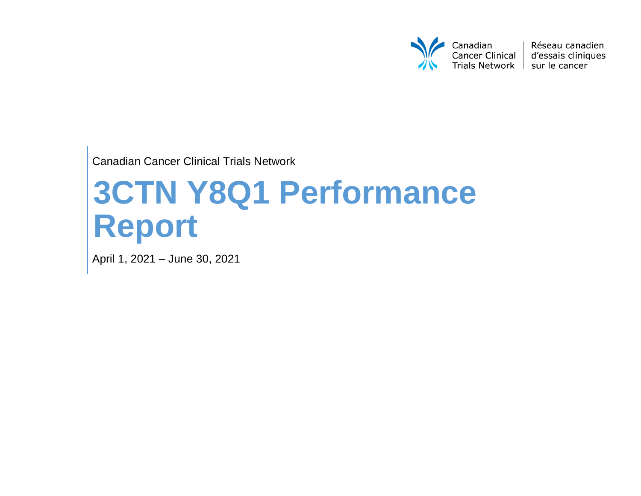

Réseau canadien d'essais cliniques

Canadian Cancer Clinical Trials Network

# **3CTN Y8Q1 Performance Report**

April 1, 2021 – June 30, 2021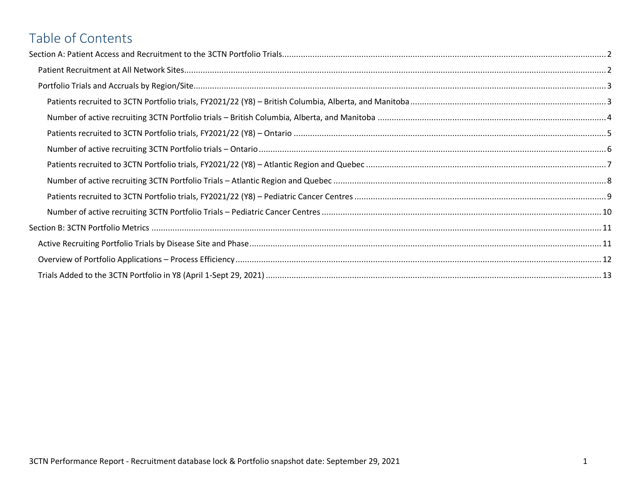# Table of Contents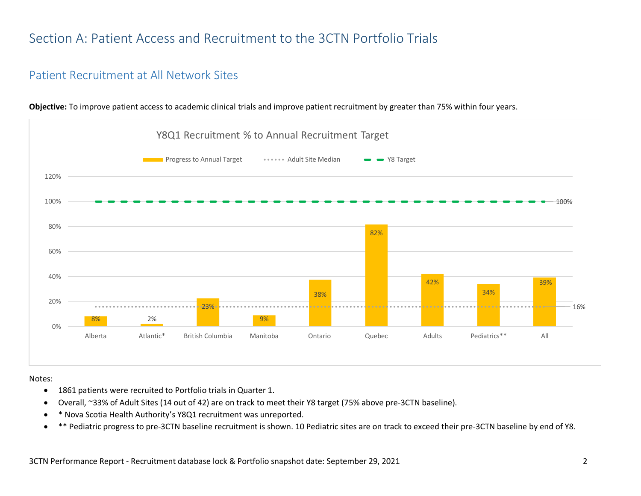# <span id="page-2-0"></span>Section A: Patient Access and Recruitment to the 3CTN Portfolio Trials

#### <span id="page-2-1"></span>Patient Recruitment at All Network Sites



**Objective:** To improve patient access to academic clinical trials and improve patient recruitment by greater than 75% within four years.

Notes:

- 1861 patients were recruited to Portfolio trials in Quarter 1.
- Overall, ~33% of Adult Sites (14 out of 42) are on track to meet their Y8 target (75% above pre-3CTN baseline).
- \* Nova Scotia Health Authority's Y8Q1 recruitment was unreported.
- \*\* Pediatric progress to pre-3CTN baseline recruitment is shown. 10 Pediatric sites are on track to exceed their pre-3CTN baseline by end of Y8.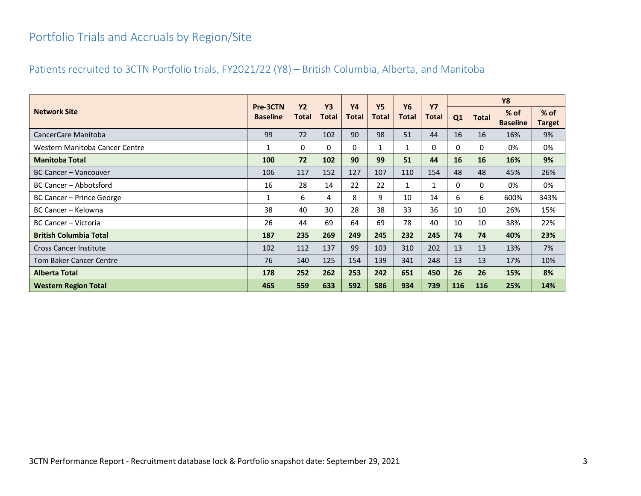# <span id="page-3-0"></span>Portfolio Trials and Accruals by Region/Site

#### <span id="page-3-1"></span>Patients recruited to 3CTN Portfolio trials, FY2021/22 (Y8) – British Columbia, Alberta, and Manitoba

|                                | Pre-3CTN        | <b>Y2</b>    | <b>Y3</b>    | <b>Y4</b> | <b>Y5</b> | <b>Y6</b> | <b>Y7</b>    |           |              | <b>Y8</b>                 |                       |
|--------------------------------|-----------------|--------------|--------------|-----------|-----------|-----------|--------------|-----------|--------------|---------------------------|-----------------------|
| <b>Network Site</b>            | <b>Baseline</b> | <b>Total</b> | <b>Total</b> | Total     | Total     | Total     | <b>Total</b> | Q1        | <b>Total</b> | $%$ of<br><b>Baseline</b> | % of<br><b>Target</b> |
| CancerCare Manitoba            | 99              | 72           | 102          | 90        | 98        | 51        | 44           | 16        | 16           | 16%                       | 9%                    |
| Western Manitoba Cancer Centre | 1               | 0            | $\Omega$     | 0         |           | 1         | 0            | 0         | 0            | 0%                        | 0%                    |
| <b>Manitoba Total</b>          | 100             | 72           | 102          | 90        | 99        | 51        | 44           | <b>16</b> | 16           | 16%                       | 9%                    |
| BC Cancer – Vancouver          | 106             | 117          | 152          | 127       | 107       | 110       | 154          | 48        | 48           | 45%                       | 26%                   |
| BC Cancer - Abbotsford         | 16              | 28           | 14           | 22        | 22        |           | 1            | 0         | 0            | 0%                        | 0%                    |
| BC Cancer - Prince George      | 1               | 6            | 4            | 8         | 9         | 10        | 14           | 6         | 6            | 600%                      | 343%                  |
| BC Cancer - Kelowna            | 38              | 40           | 30           | 28        | 38        | 33        | 36           | 10        | 10           | 26%                       | 15%                   |
| BC Cancer – Victoria           | 26              | 44           | 69           | 64        | 69        | 78        | 40           | 10        | 10           | 38%                       | 22%                   |
| <b>British Columbia Total</b>  | 187             | 235          | 269          | 249       | 245       | 232       | 245          | 74        | 74           | 40%                       | 23%                   |
| <b>Cross Cancer Institute</b>  | 102             | 112          | 137          | 99        | 103       | 310       | 202          | 13        | 13           | 13%                       | 7%                    |
| <b>Tom Baker Cancer Centre</b> | 76              | 140          | 125          | 154       | 139       | 341       | 248          | 13        | 13           | 17%                       | 10%                   |
| <b>Alberta Total</b>           | 178             | 252          | 262          | 253       | 242       | 651       | 450          | 26        | 26           | 15%                       | 8%                    |
| <b>Western Region Total</b>    | 465             | 559          | 633          | 592       | 586       | 934       | 739          | 116       | 116          | 25%                       | 14%                   |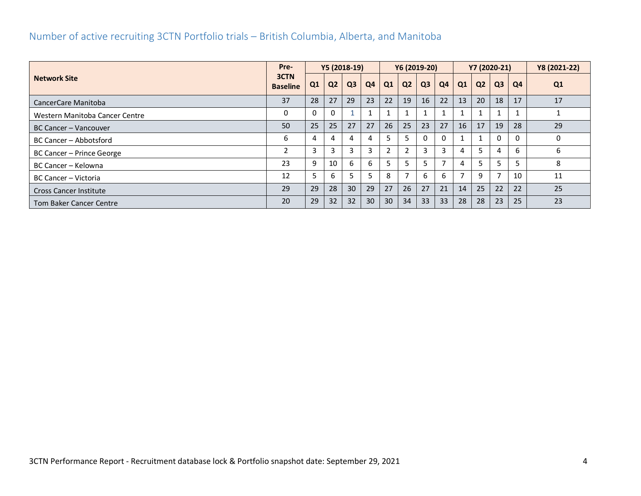## <span id="page-4-0"></span>Number of active recruiting 3CTN Portfolio trials – British Columbia, Alberta, and Manitoba

|                                |                         |                | Y5 (2018-19)   |                |    | Y6 (2019-20) |                |                |          |    | Y7 (2020-21)   |                          | Y8 (2021-22) |          |
|--------------------------------|-------------------------|----------------|----------------|----------------|----|--------------|----------------|----------------|----------|----|----------------|--------------------------|--------------|----------|
| <b>Network Site</b>            | 3CTN<br><b>Baseline</b> | Q <sub>1</sub> | Q <sub>2</sub> | Q <sub>3</sub> | Q4 | Q1           | Q <sub>2</sub> | Q <sub>3</sub> | Q4       | Q1 | Q <sub>2</sub> | Q <sub>3</sub>           | Q4           | Q1       |
| CancerCare Manitoba            | 37                      | 28             | 27             | 29             | 23 | 22           | 19             | 16             | 22       | 13 | 20             | 18                       | 17           | 17       |
| Western Manitoba Cancer Centre | 0                       | 0              | $\Omega$       |                |    |              |                |                |          |    |                |                          |              |          |
| BC Cancer - Vancouver          | 50                      | 25             | 25             | 27             | 27 | 26           | 25             | 23             | 27       | 16 | 17             | 19                       | 28           | 29       |
| BC Cancer - Abbotsford         | 6                       | 4              | 4              |                | 4  |              | 5.             |                | $\Omega$ |    |                | $\Omega$                 |              | $\Omega$ |
| BC Cancer - Prince George      | 2                       | 3              | 3              |                | 3  |              | 2              | 3              | 3        | 4  | 5              | 4                        | 6            | 6        |
| BC Cancer – Kelowna            | 23                      | 9              | 10             | 6              | 6  |              | 5              |                |          | 4  | 5              | 5                        |              | 8        |
| BC Cancer - Victoria           | 12                      | 5.             | 6              |                |    | 8            | 7              | 6              | 6        |    | 9              | $\overline{\phantom{a}}$ | 10           | 11       |
| <b>Cross Cancer Institute</b>  | 29                      | 29             | 28             | 30             | 29 | 27           | 26             | 27             | 21       | 14 | 25             | 22                       | 22           | 25       |
| Tom Baker Cancer Centre        | 20                      | 29             | 32             | 32             | 30 | 30           | 34             | 33             | 33       | 28 | 28             | 23                       | 25           | 23       |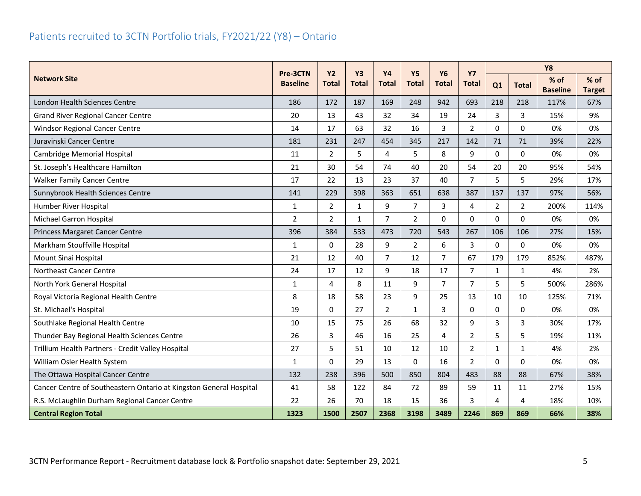# <span id="page-5-0"></span>Patients recruited to 3CTN Portfolio trials, FY2021/22 (Y8) – Ontario

|                                                                    |                 | Pre-3CTN<br><b>Y2</b><br><b>Y3</b> |              | <b>Y4</b>      | <b>Y5</b><br><b>Y6</b> |                | <b>Y7</b>      |                |                | <b>Y8</b>               |                         |
|--------------------------------------------------------------------|-----------------|------------------------------------|--------------|----------------|------------------------|----------------|----------------|----------------|----------------|-------------------------|-------------------------|
| <b>Network Site</b>                                                | <b>Baseline</b> | Total                              | Total        | <b>Total</b>   | <b>Total</b>           | <b>Total</b>   | Total          | Q1             | <b>Total</b>   | % of<br><b>Baseline</b> | $%$ of<br><b>Target</b> |
| London Health Sciences Centre                                      | 186             | 172                                | 187          | 169            | 248                    | 942            | 693            | 218            | 218            | 117%                    | 67%                     |
| <b>Grand River Regional Cancer Centre</b>                          | 20              | 13                                 | 43           | 32             | 34                     | 19             | 24             | 3              | 3              | 15%                     | 9%                      |
| Windsor Regional Cancer Centre                                     | 14              | 17                                 | 63           | 32             | 16                     | 3              | $\overline{2}$ | 0              | $\Omega$       | 0%                      | 0%                      |
| Juravinski Cancer Centre                                           | 181             | 231                                | 247          | 454            | 345                    | 217            | 142            | 71             | 71             | 39%                     | 22%                     |
| Cambridge Memorial Hospital                                        | 11              | $\overline{2}$                     | 5            | 4              | 5                      | 8              | 9              | 0              | $\Omega$       | 0%                      | 0%                      |
| St. Joseph's Healthcare Hamilton                                   | 21              | 30                                 | 54           | 74             | 40                     | 20             | 54             | 20             | 20             | 95%                     | 54%                     |
| <b>Walker Family Cancer Centre</b>                                 | 17              | 22                                 | 13           | 23             | 37                     | 40             | $\overline{7}$ | 5              | 5              | 29%                     | 17%                     |
| Sunnybrook Health Sciences Centre                                  | 141             | 229                                | 398          | 363            | 651                    | 638            | 387            | 137            | 137            | 97%                     | 56%                     |
| Humber River Hospital                                              | $\mathbf{1}$    | $\overline{2}$                     | $\mathbf{1}$ | 9              | 7                      | 3              | 4              | $\overline{2}$ | $\overline{2}$ | 200%                    | 114%                    |
| Michael Garron Hospital                                            | $\overline{2}$  | $\overline{2}$                     | $\mathbf{1}$ | $\overline{7}$ | $\overline{2}$         | $\Omega$       | $\Omega$       | 0              | $\Omega$       | 0%                      | 0%                      |
| Princess Margaret Cancer Centre                                    | 396             | 384                                | 533          | 473            | 720                    | 543            | 267            | 106            | 106            | 27%                     | 15%                     |
| Markham Stouffville Hospital                                       | $\mathbf{1}$    | 0                                  | 28           | 9              | $\overline{2}$         | 6              | 3              | 0              | $\Omega$       | 0%                      | 0%                      |
| Mount Sinai Hospital                                               | 21              | 12                                 | 40           | $\overline{7}$ | 12                     | $\overline{7}$ | 67             | 179            | 179            | 852%                    | 487%                    |
| Northeast Cancer Centre                                            | 24              | 17                                 | 12           | 9              | 18                     | 17             | $\overline{7}$ | $\mathbf{1}$   | $\mathbf{1}$   | 4%                      | 2%                      |
| North York General Hospital                                        | 1               | 4                                  | 8            | 11             | 9                      | $\overline{7}$ | $\overline{7}$ | 5              | 5              | 500%                    | 286%                    |
| Royal Victoria Regional Health Centre                              | 8               | 18                                 | 58           | 23             | 9                      | 25             | 13             | 10             | 10             | 125%                    | 71%                     |
| St. Michael's Hospital                                             | 19              | $\Omega$                           | 27           | $\overline{2}$ | $\mathbf{1}$           | $\overline{3}$ | 0              | 0              | $\Omega$       | 0%                      | 0%                      |
| Southlake Regional Health Centre                                   | 10              | 15                                 | 75           | 26             | 68                     | 32             | 9              | 3              | 3              | 30%                     | 17%                     |
| Thunder Bay Regional Health Sciences Centre                        | 26              | $\overline{3}$                     | 46           | 16             | 25                     | 4              | $\overline{2}$ | 5              | 5              | 19%                     | 11%                     |
| Trillium Health Partners - Credit Valley Hospital                  | 27              | 5                                  | 51           | 10             | 12                     | 10             | $\overline{2}$ | $\mathbf{1}$   | 1              | 4%                      | 2%                      |
| William Osler Health System                                        | $\mathbf{1}$    | $\Omega$                           | 29           | 13             | $\Omega$               | 16             | $\overline{2}$ | 0              | $\Omega$       | 0%                      | 0%                      |
| The Ottawa Hospital Cancer Centre                                  | 132             | 238                                | 396          | 500            | 850                    | 804            | 483            | 88             | 88             | 67%                     | 38%                     |
| Cancer Centre of Southeastern Ontario at Kingston General Hospital | 41              | 58                                 | 122          | 84             | 72                     | 89             | 59             | 11             | 11             | 27%                     | 15%                     |
| R.S. McLaughlin Durham Regional Cancer Centre                      | 22              | 26                                 | 70           | 18             | 15                     | 36             | 3              | 4              | 4              | 18%                     | 10%                     |
| <b>Central Region Total</b>                                        | 1323            | 1500                               | 2507         | 2368           | 3198                   | 3489           | 2246           | 869            | 869            | 66%                     | 38%                     |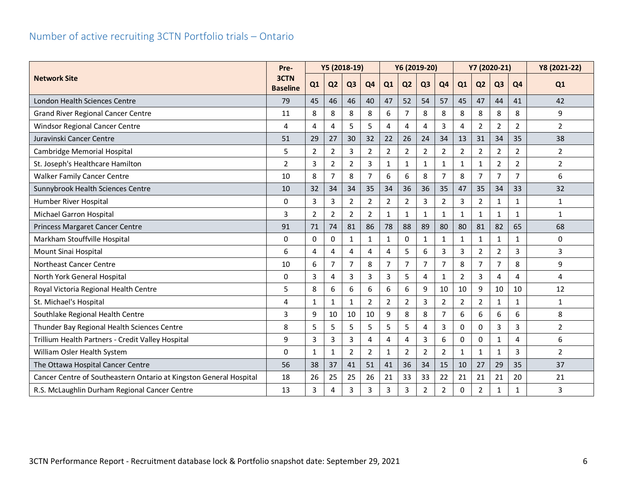# <span id="page-6-0"></span>Number of active recruiting 3CTN Portfolio trials – Ontario

|                                                                    |                         |                |                | Y5 (2018-19)   |                | Y6 (2019-20)   |                |                |                |                | Y7 (2020-21)   |                | Y8 (2021-22)   |                |
|--------------------------------------------------------------------|-------------------------|----------------|----------------|----------------|----------------|----------------|----------------|----------------|----------------|----------------|----------------|----------------|----------------|----------------|
| <b>Network Site</b>                                                | 3CTN<br><b>Baseline</b> | Q1             | Q <sub>2</sub> | Q <sub>3</sub> | Q <sub>4</sub> | Q1             | Q <sub>2</sub> | Q <sub>3</sub> | Q <sub>4</sub> | Q1             | Q <sub>2</sub> | Q <sub>3</sub> | Q4             | Q1             |
| London Health Sciences Centre                                      | 79                      | 45             | 46             | 46             | 40             | 47             | 52             | 54             | 57             | 45             | 47             | 44             | 41             | 42             |
| <b>Grand River Regional Cancer Centre</b>                          | 11                      | 8              | 8              | 8              | 8              | 6              | 7              | 8              | 8              | 8              | 8              | 8              | 8              | 9              |
| <b>Windsor Regional Cancer Centre</b>                              | 4                       | 4              | $\overline{4}$ | 5              | 5              | 4              | 4              | 4              | 3              | 4              | $\overline{2}$ | $\overline{2}$ | $\overline{2}$ | $\overline{2}$ |
| Juravinski Cancer Centre                                           | 51                      | 29             | 27             | 30             | 32             | 22             | 26             | 24             | 34             | 13             | 31             | 34             | 35             | 38             |
| Cambridge Memorial Hospital                                        | 5                       | $\overline{2}$ | $\overline{2}$ | $\overline{3}$ | $\overline{2}$ | $\overline{2}$ | $\overline{2}$ | $\overline{2}$ | $\overline{2}$ | $\overline{2}$ | $\overline{2}$ | $\overline{2}$ | $\overline{2}$ | $\overline{2}$ |
| St. Joseph's Healthcare Hamilton                                   | $\overline{2}$          | 3              | $\overline{2}$ | $\overline{2}$ | 3              | $\mathbf{1}$   | $\mathbf{1}$   | $\mathbf{1}$   | $\mathbf{1}$   | $\mathbf{1}$   | 1              | $\overline{2}$ | $\overline{2}$ | $\overline{2}$ |
| <b>Walker Family Cancer Centre</b>                                 | 10                      | 8              | $\overline{7}$ | 8              | 7              | 6              | 6              | 8              | 7              | 8              | $\overline{7}$ | $\overline{7}$ | 7              | 6              |
| Sunnybrook Health Sciences Centre                                  | 10                      | 32             | 34             | 34             | 35             | 34             | 36             | 36             | 35             | 47             | 35             | 34             | 33             | 32             |
| Humber River Hospital                                              | 0                       | 3              | 3              | $\overline{2}$ | $\overline{2}$ | $\overline{2}$ | $\overline{2}$ | 3              | $\overline{2}$ | 3              | $\overline{2}$ | $\mathbf{1}$   | $\mathbf{1}$   | 1              |
| Michael Garron Hospital                                            | 3                       | $\overline{2}$ | $\overline{2}$ | $\overline{2}$ | $\overline{2}$ | 1              | 1              | $\mathbf{1}$   | 1              | $\mathbf{1}$   |                | 1              | 1              | $\mathbf{1}$   |
| <b>Princess Margaret Cancer Centre</b>                             | 91                      | 71             | 74             | 81             | 86             | 78             | 88             | 89             | 80             | 80             | 81             | 82             | 65             | 68             |
| Markham Stouffville Hospital                                       | 0                       | $\Omega$       | 0              | 1              | $\mathbf{1}$   | $\mathbf{1}$   | 0              | $\mathbf{1}$   | 1              | $\mathbf{1}$   | 1              | $\mathbf{1}$   | 1              | $\mathbf 0$    |
| Mount Sinai Hospital                                               | 6                       | 4              | $\overline{4}$ | Δ              | 4              | 4              | 5              | 6              | 3              | 3              | $\overline{2}$ | $\overline{2}$ | 3              | 3              |
| Northeast Cancer Centre                                            | 10                      | 6              | $\overline{7}$ | $\overline{7}$ | 8              | $\overline{7}$ | $\overline{7}$ | $\overline{7}$ | $\overline{7}$ | 8              | $\overline{7}$ | $\overline{7}$ | 8              | 9              |
| North York General Hospital                                        | 0                       | 3              | $\overline{4}$ | $\overline{3}$ | 3              | 3              | 5              | $\overline{4}$ | $\mathbf{1}$   | $\overline{2}$ | 3              | 4              | 4              | 4              |
| Royal Victoria Regional Health Centre                              | 5                       | 8              | 6              | 6              | 6              | 6              | 6              | 9              | 10             | 10             | 9              | 10             | 10             | 12             |
| St. Michael's Hospital                                             | 4                       | 1              | $\mathbf{1}$   | $\mathbf{1}$   | $\overline{2}$ | $\overline{2}$ | $\overline{2}$ | 3              | $\overline{2}$ | $\overline{2}$ | $\overline{2}$ | $\mathbf{1}$   | 1              | 1              |
| Southlake Regional Health Centre                                   | 3                       | 9              | 10             | 10             | 10             | 9              | 8              | 8              | 7              | 6              | 6              | 6              | 6              | 8              |
| Thunder Bay Regional Health Sciences Centre                        | 8                       | 5              | 5              | 5              | 5              | 5              | 5              | 4              | 3              | $\Omega$       | $\Omega$       | 3              | 3              | $\overline{2}$ |
| Trillium Health Partners - Credit Valley Hospital                  | 9                       | 3              | 3              | 3              | 4              | 4              | 4              | 3              | 6              | $\Omega$       | 0              | $\mathbf{1}$   | 4              | 6              |
| William Osler Health System                                        | $\Omega$                | $\mathbf{1}$   | $\mathbf{1}$   | $\overline{2}$ | $\overline{2}$ | $\mathbf{1}$   | $\overline{2}$ | $\overline{2}$ | $\overline{2}$ | $\mathbf{1}$   | 1              | $\mathbf{1}$   | 3              | $\overline{2}$ |
| The Ottawa Hospital Cancer Centre                                  | 56                      | 38             | 37             | 41             | 51             | 41             | 36             | 34             | 15             | 10             | 27             | 29             | 35             | 37             |
| Cancer Centre of Southeastern Ontario at Kingston General Hospital | 18                      | 26             | 25             | 25             | 26             | 21             | 33             | 33             | 22             | 21             | 21             | 21             | 20             | 21             |
| R.S. McLaughlin Durham Regional Cancer Centre                      | 13                      | 3              | 4              | 3              | 3              | 3              | 3              | $\overline{2}$ | $\overline{2}$ | $\Omega$       | $\overline{2}$ | $\mathbf{1}$   | 1              | 3              |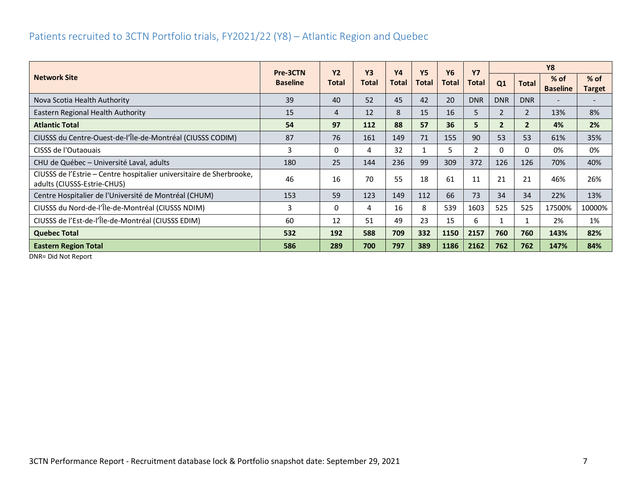## <span id="page-7-0"></span>Patients recruited to 3CTN Portfolio trials, FY2021/22 (Y8) – Atlantic Region and Quebec

|                                                                                                     | Pre-3CTN        | <b>Y2</b> | <b>Y3</b> | <b>Y4</b> | <b>Y5</b>    | <b>Y6</b>    | <b>Y7</b>  |                |                | <b>Y8</b>                 |                         |
|-----------------------------------------------------------------------------------------------------|-----------------|-----------|-----------|-----------|--------------|--------------|------------|----------------|----------------|---------------------------|-------------------------|
| <b>Network Site</b>                                                                                 | <b>Baseline</b> | Total     | Total     | Total     | <b>Total</b> | <b>Total</b> | Total      | Q1             | <b>Total</b>   | $%$ of<br><b>Baseline</b> | $%$ of<br><b>Target</b> |
| Nova Scotia Health Authority                                                                        | 39              | 40        | 52        | 45        | 42           | 20           | <b>DNR</b> | <b>DNR</b>     | <b>DNR</b>     |                           |                         |
| Eastern Regional Health Authority                                                                   | 15              | 4         | 12        | 8         | 15           | 16           | 5          | $\overline{2}$ | $\overline{2}$ | 13%                       | 8%                      |
| <b>Atlantic Total</b>                                                                               | 54              | 97        | 112       | 88        | 57           | 36           | 5          | $\overline{2}$ | $\overline{2}$ | 4%                        | 2%                      |
| CIUSSS du Centre-Ouest-de-l'Île-de-Montréal (CIUSSS CODIM)                                          | 87              | 76        | 161       | 149       | 71           | 155          | 90         | 53             | 53             | 61%                       | 35%                     |
| CISSS de l'Outaouais                                                                                |                 | 0         | 4         | 32        |              | 5.           | 2          | 0              | 0              | 0%                        | 0%                      |
| CHU de Québec - Université Laval, adults                                                            | 180             | 25        | 144       | 236       | 99           | 309          | 372        | 126            | 126            | 70%                       | 40%                     |
| CIUSSS de l'Estrie – Centre hospitalier universitaire de Sherbrooke,<br>adults (CIUSSS-Estrie-CHUS) | 46              | 16        | 70        | 55        | 18           | 61           | 11         | 21             | 21             | 46%                       | 26%                     |
| Centre Hospitalier de l'Université de Montréal (CHUM)                                               | 153             | 59        | 123       | 149       | 112          | 66           | 73         | 34             | 34             | 22%                       | 13%                     |
| CIUSSS du Nord-de-l'Île-de-Montréal (CIUSSS NDIM)                                                   | 3               | 0         | 4         | 16        | 8            | 539          | 1603       | 525            | 525            | 17500%                    | 10000%                  |
| CIUSSS de l'Est-de-l'Île-de-Montréal (CIUSSS EDIM)                                                  | 60              | 12        | 51        | 49        | 23           | 15           | 6          |                |                | 2%                        | 1%                      |
| <b>Quebec Total</b>                                                                                 | 532             | 192       | 588       | 709       | 332          | 1150         | 2157       | 760            | 760            | 143%                      | 82%                     |
| <b>Eastern Region Total</b>                                                                         | 586             | 289       | 700       | 797       | 389          | 1186         | 2162       | 762            | 762            | 147%                      | 84%                     |

DNR= Did Not Report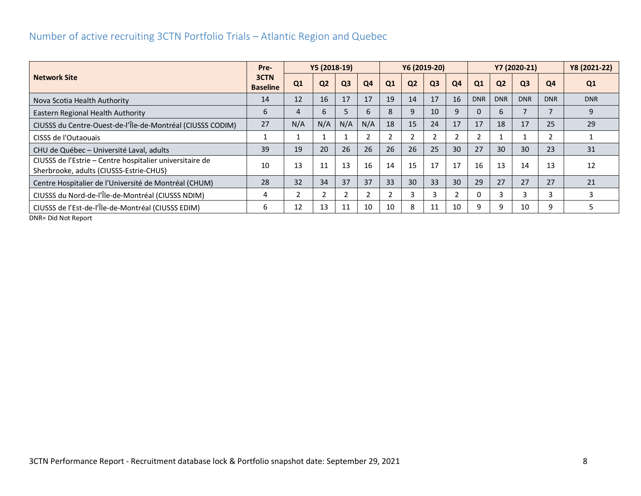## <span id="page-8-0"></span>Number of active recruiting 3CTN Portfolio Trials – Atlantic Region and Quebec

|                                                                                                     | Pre-                    | Y5 (2018-19)   |                |                |                |               |                | Y6 (2019-20)   |                | Y7 (2020-21) |                |                |                | Y8 (2021-22) |
|-----------------------------------------------------------------------------------------------------|-------------------------|----------------|----------------|----------------|----------------|---------------|----------------|----------------|----------------|--------------|----------------|----------------|----------------|--------------|
| <b>Network Site</b>                                                                                 | 3CTN<br><b>Baseline</b> | Q1             | Q <sub>2</sub> | Q <sub>3</sub> | Q <sub>4</sub> | Q1            | Q <sub>2</sub> | Q <sub>3</sub> | Q <sub>4</sub> | Q1           | Q <sub>2</sub> | Q <sub>3</sub> | Q <sub>4</sub> | Q1           |
| Nova Scotia Health Authority                                                                        | 14                      | 12             | 16             | 17             | 17             | 19            | 14             | 17             | 16             | <b>DNR</b>   | <b>DNR</b>     | <b>DNR</b>     | <b>DNR</b>     | <b>DNR</b>   |
| Eastern Regional Health Authority                                                                   | 6                       | 4              | 6              |                | 6              | 8             | 9              | 10             | 9              | 0            | 6              |                |                | 9            |
| CIUSSS du Centre-Ouest-de-l'Île-de-Montréal (CIUSSS CODIM)                                          | 27                      | N/A            | N/A            | N/A            | N/A            | 18            | 15             | 24             | 17             | 17           | 18             | 17             | 25             | 29           |
| CISSS de l'Outaouais                                                                                |                         |                |                |                |                |               |                |                |                |              |                |                | $\overline{2}$ |              |
| CHU de Québec - Université Laval, adults                                                            | 39                      | 19             | 20             | 26             | 26             | 26            | 26             | 25             | 30             | 27           | 30             | 30             | 23             | 31           |
| CIUSSS de l'Estrie - Centre hospitalier universitaire de<br>Sherbrooke, adults (CIUSSS-Estrie-CHUS) | 10                      | 13             | 11             | 13             | 16             | 14            | 15             | 17             | 17             | 16           | 13             | 14             | 13             | 12           |
| Centre Hospitalier de l'Université de Montréal (CHUM)                                               | 28                      | 32             | 34             | 37             | 37             | 33            | 30             | 33             | 30             | 29           | 27             | 27             | 27             | 21           |
| CIUSSS du Nord-de-l'Île-de-Montréal (CIUSSS NDIM)                                                   | 4                       | $\overline{2}$ | $\mathcal{L}$  | $\overline{2}$ |                | $\mathcal{P}$ | 3              |                | $\overline{2}$ | 0            | 3              |                | 3              | .S           |
| CIUSSS de l'Est-de-l'Île-de-Montréal (CIUSSS EDIM)<br>DND-Did Not Donort                            | 6                       | 12             | 13             | 11             | 10             | 10            | 8              | 11             | 10             | 9            | 9              | 10             | 9              | 5            |

DNR= Did Not Report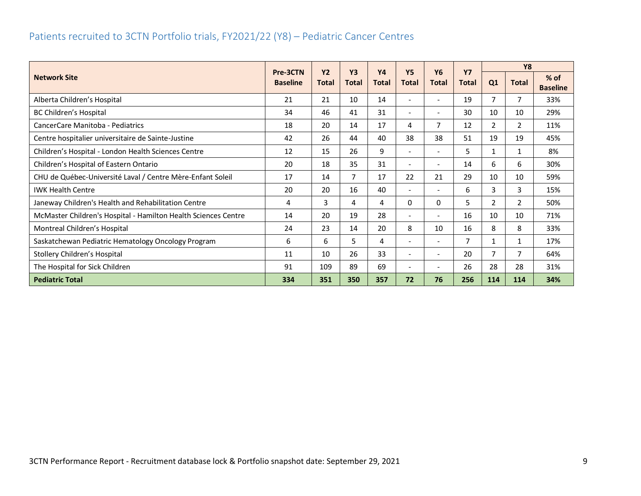## <span id="page-9-0"></span>Patients recruited to 3CTN Portfolio trials, FY2021/22 (Y8) – Pediatric Cancer Centres

|                                                                |                             | <b>Y2</b>    | <b>Y3</b>    | <b>Y4</b>      | <b>Y5</b>                | <b>Y6</b>                | <b>Y7</b>    |                | <b>Y8</b>    |                           |
|----------------------------------------------------------------|-----------------------------|--------------|--------------|----------------|--------------------------|--------------------------|--------------|----------------|--------------|---------------------------|
| <b>Network Site</b>                                            | Pre-3CTN<br><b>Baseline</b> | <b>Total</b> | <b>Total</b> | <b>Total</b>   | <b>Total</b>             | <b>Total</b>             | <b>Total</b> | Q1             | <b>Total</b> | $%$ of<br><b>Baseline</b> |
| Alberta Children's Hospital                                    | 21                          | 21           | 10           | 14             |                          | $\overline{\phantom{a}}$ | 19           | 7              | 7            | 33%                       |
| BC Children's Hospital                                         | 34                          | 46           | 41           | 31             | $\overline{\phantom{a}}$ | $\overline{\phantom{a}}$ | 30           | 10             | 10           | 29%                       |
| CancerCare Manitoba - Pediatrics                               | 18                          | 20           | 14           | 17             | 4                        | 7                        | 12           | $\overline{2}$ | 2            | 11%                       |
| Centre hospitalier universitaire de Sainte-Justine             | 42                          | 26           | 44           | 40             | 38                       | 38                       | 51           | 19             | 19           | 45%                       |
| Children's Hospital - London Health Sciences Centre            | 12                          | 15           | 26           | 9              | $\sim$                   | $\overline{\phantom{a}}$ | 5            | $\mathbf{1}$   | 1            | 8%                        |
| Children's Hospital of Eastern Ontario                         | 20                          | 18           | 35           | 31             | $\overline{\phantom{a}}$ | $\overline{\phantom{a}}$ | 14           | 6              | 6            | 30%                       |
| CHU de Québec-Université Laval / Centre Mère-Enfant Soleil     | 17                          | 14           | 7            | 17             | 22                       | 21                       | 29           | 10             | 10           | 59%                       |
| <b>IWK Health Centre</b>                                       | 20                          | 20           | 16           | 40             | $\overline{\phantom{a}}$ | $\overline{\phantom{a}}$ | 6            | 3              | 3            | 15%                       |
| Janeway Children's Health and Rehabilitation Centre            | 4                           | 3            | 4            | 4              | 0                        | 0                        | 5            | 2              | 2            | 50%                       |
| McMaster Children's Hospital - Hamilton Health Sciences Centre | 14                          | 20           | 19           | 28             | $\overline{\phantom{a}}$ | $\overline{\phantom{a}}$ | 16           | 10             | 10           | 71%                       |
| Montreal Children's Hospital                                   | 24                          | 23           | 14           | 20             | 8                        | 10                       | 16           | 8              | 8            | 33%                       |
| Saskatchewan Pediatric Hematology Oncology Program             | 6                           | 6            | 5            | $\overline{4}$ | $\overline{\phantom{a}}$ | $\overline{\phantom{a}}$ | 7            | $\mathbf{1}$   | $\mathbf{1}$ | 17%                       |
| Stollery Children's Hospital                                   | 11                          | 10           | 26           | 33             | $\overline{\phantom{a}}$ | $\overline{\phantom{a}}$ | 20           | 7              | 7            | 64%                       |
| The Hospital for Sick Children                                 | 91                          | 109          | 89           | 69             | $\overline{\phantom{a}}$ |                          | 26           | 28             | 28           | 31%                       |
| <b>Pediatric Total</b>                                         | 334                         | 351          | 350          | 357            | 72                       | 76                       | 256          | 114            | 114          | 34%                       |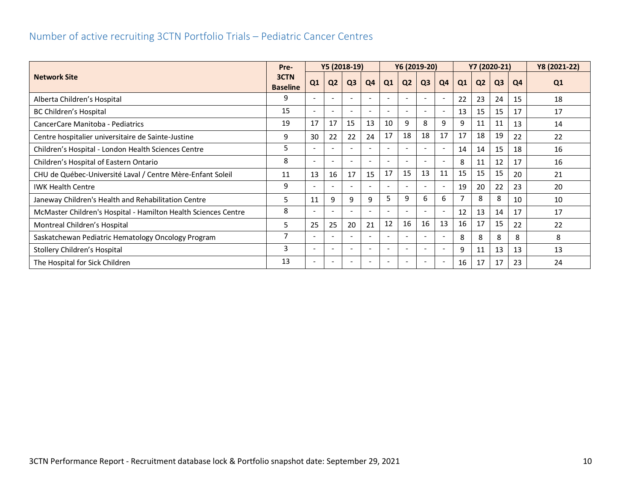## <span id="page-10-0"></span>Number of active recruiting 3CTN Portfolio Trials – Pediatric Cancer Centres

|                                                                |                         |                          | Y5 (2018-19)<br>Y6 (2019-20) |                |                          |    |                          |                          |                          | Y7 (2020-21)   | Y8 (2021-22)   |                |    |    |
|----------------------------------------------------------------|-------------------------|--------------------------|------------------------------|----------------|--------------------------|----|--------------------------|--------------------------|--------------------------|----------------|----------------|----------------|----|----|
| <b>Network Site</b>                                            | 3CTN<br><b>Baseline</b> | Q1                       | Q <sub>2</sub>               | Q <sub>3</sub> | Q4                       | Q1 | Q <sub>2</sub>           | Q <sub>3</sub>           | Q <sub>4</sub>           | Q <sub>1</sub> | Q <sub>2</sub> | Q <sub>3</sub> | Q4 | Q1 |
| Alberta Children's Hospital                                    | 9                       | $\overline{\phantom{a}}$ | $\overline{\phantom{a}}$     |                | $\overline{\phantom{a}}$ |    | $\overline{\phantom{a}}$ | $\overline{\phantom{a}}$ | $\overline{\phantom{a}}$ | 22             | 23             | 24             | 15 | 18 |
| BC Children's Hospital                                         | 15                      |                          | $\overline{\phantom{a}}$     |                |                          |    | $\overline{a}$           |                          | $\overline{\phantom{a}}$ | 13             | 15             | 15             | 17 | 17 |
| CancerCare Manitoba - Pediatrics                               | 19                      | 17                       | 17                           | 15             | 13                       | 10 | 9                        | 8                        | 9                        | 9              | 11             | 11             | 13 | 14 |
| Centre hospitalier universitaire de Sainte-Justine             | 9                       | 30                       | 22                           | 22             | 24                       | 17 | 18                       | 18                       | 17                       | 17             | 18             | 19             | 22 | 22 |
| Children's Hospital - London Health Sciences Centre            | 5                       |                          | $\overline{\phantom{a}}$     |                | $\overline{\phantom{a}}$ |    | $\overline{\phantom{a}}$ |                          | $\overline{\phantom{a}}$ | 14             | 14             | 15             | 18 | 16 |
| Children's Hospital of Eastern Ontario                         | 8                       |                          | $\overline{\phantom{a}}$     |                |                          |    | $\overline{\phantom{a}}$ |                          | $\overline{\phantom{a}}$ | 8              | 11             | 12             | 17 | 16 |
| CHU de Québec-Université Laval / Centre Mère-Enfant Soleil     | 11                      | 13                       | 16                           | 17             | 15                       | 17 | 15                       | 13                       | 11                       | 15             | 15             | 15             | 20 | 21 |
| <b>IWK Health Centre</b>                                       | 9                       |                          | $\overline{a}$               |                | <b>.</b>                 |    | $\overline{\phantom{a}}$ |                          | $\overline{\phantom{a}}$ | 19             | 20             | 22             | 23 | 20 |
| Janeway Children's Health and Rehabilitation Centre            | 5                       | 11                       | 9                            | 9              | 9                        | 5  | 9                        | 6                        | 6                        |                | 8              | 8              | 10 | 10 |
| McMaster Children's Hospital - Hamilton Health Sciences Centre | 8                       |                          | $\overline{\phantom{a}}$     |                |                          |    | $\overline{\phantom{a}}$ |                          | $\overline{\phantom{a}}$ | 12             | 13             | 14             | 17 | 17 |
| Montreal Children's Hospital                                   | 5                       | 25                       | 25                           | 20             | 21                       | 12 | 16                       | 16                       | 13                       | 16             | 17             | 15             | 22 | 22 |
| Saskatchewan Pediatric Hematology Oncology Program             | 7                       |                          | $\overline{\phantom{a}}$     |                | $\overline{\phantom{a}}$ |    | $\overline{\phantom{a}}$ |                          | $\overline{\phantom{a}}$ | 8              | 8              | 8              | 8  | 8  |
| Stollery Children's Hospital                                   | 3                       | $\overline{\phantom{a}}$ | $\overline{\phantom{a}}$     |                | $\overline{\phantom{a}}$ |    | $\overline{\phantom{a}}$ |                          | $\overline{\phantom{a}}$ | 9              | 11             | 13             | 13 | 13 |
| The Hospital for Sick Children                                 | 13                      | $\overline{\phantom{a}}$ | $\overline{\phantom{a}}$     |                | $\overline{\phantom{a}}$ |    | $\overline{\phantom{a}}$ |                          | $\overline{\phantom{a}}$ | 16             | 17             | 17             | 23 | 24 |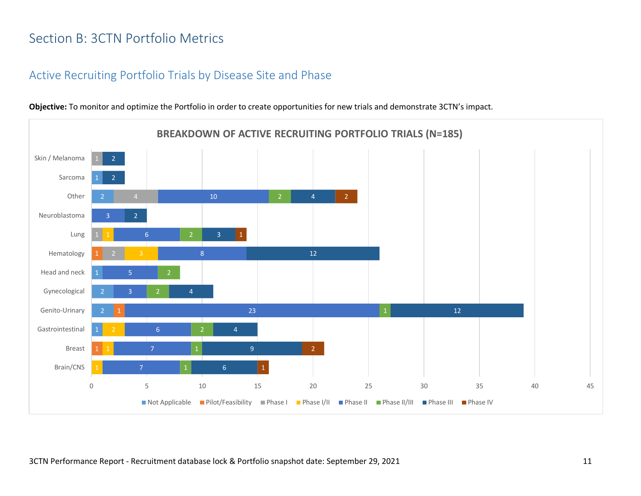# <span id="page-11-0"></span>Section B: 3CTN Portfolio Metrics

#### <span id="page-11-1"></span>Active Recruiting Portfolio Trials by Disease Site and Phase



**Objective:** To monitor and optimize the Portfolio in order to create opportunities for new trials and demonstrate 3CTN's impact.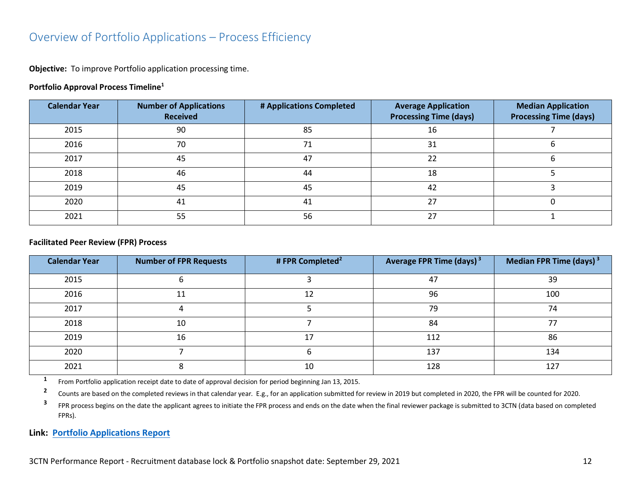#### <span id="page-12-0"></span>Overview of Portfolio Applications – Process Efficiency

**Objective:** To improve Portfolio application processing time.

#### **Portfolio Approval Process Timeline<sup>1</sup>**

| <b>Calendar Year</b> | <b>Number of Applications</b><br><b>Received</b> | # Applications Completed | <b>Average Application</b><br><b>Processing Time (days)</b> | <b>Median Application</b><br><b>Processing Time (days)</b> |
|----------------------|--------------------------------------------------|--------------------------|-------------------------------------------------------------|------------------------------------------------------------|
| 2015                 | 90                                               | 85                       | 16                                                          |                                                            |
| 2016                 | 70                                               | 71                       | 31                                                          |                                                            |
| 2017                 | 45                                               | 47                       | 22                                                          |                                                            |
| 2018                 | 46                                               | 44                       | 18                                                          |                                                            |
| 2019                 | 45                                               | 45                       | 42                                                          |                                                            |
| 2020                 | 41                                               | 41                       | 27                                                          |                                                            |
| 2021                 | 55                                               | 56                       | 27                                                          |                                                            |

#### **Facilitated Peer Review (FPR) Process**

| <b>Calendar Year</b> | <b>Number of FPR Requests</b>                                                                         | # FPR Completed <sup>2</sup> | Average FPR Time (days) <sup>3</sup> | Median FPR Time (days) $3$ |
|----------------------|-------------------------------------------------------------------------------------------------------|------------------------------|--------------------------------------|----------------------------|
| 2015                 |                                                                                                       |                              | 47                                   | 39                         |
| 2016                 | 11                                                                                                    | 12                           | 96                                   | 100                        |
| 2017                 |                                                                                                       |                              | 79                                   | 74                         |
| 2018                 | 10                                                                                                    |                              | 84                                   | 77                         |
| 2019                 | 16                                                                                                    | 17                           | 112                                  | 86                         |
| 2020                 |                                                                                                       | n                            | 137                                  | 134                        |
| 2021                 |                                                                                                       | 10                           | 128                                  | 127                        |
|                      | From Dortfolio annicotion resolut data to data of annoual decision for nexical beginning lan 12, 2015 |                              |                                      |                            |

From Portfolio application receipt date to date of approval decision for period beginning Jan 13, 2015.

**2** Counts are based on the completed reviews in that calendar year. E.g., for an application submitted for review in 2019 but completed in 2020, the FPR will be counted for 2020.

**3** FPR process begins on the date the applicant agrees to initiate the FPR process and ends on the date when the final reviewer package is submitted to 3CTN (data based on completed FPRs).

**Link: [Portfolio Applications Report](https://app.powerbi.com/view?r=eyJrIjoiNDkxODMzYTctYjhkZi00MjhkLWJiNzMtMjcyYmU2MmE4MjM5IiwidCI6IjlkZjk0OWY4LWE2ZWItNDE5ZC05Y2FhLTFmOGM4M2RiNjc0ZiJ9)**